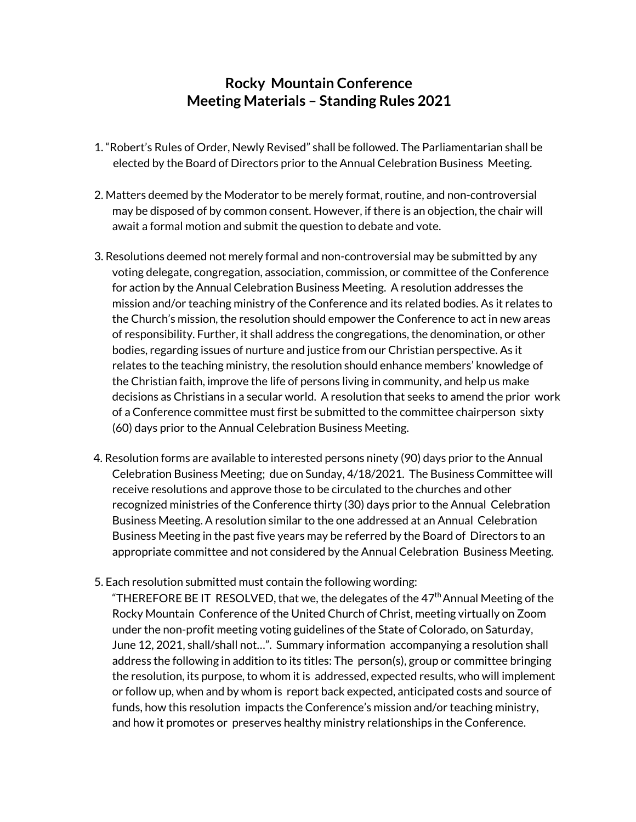## **Rocky Mountain Conference Meeting Materials – Standing Rules 2021**

- 1. "Robert's Rules of Order, Newly Revised" shall be followed. The Parliamentarian shall be elected by the Board of Directors prior to the Annual Celebration Business Meeting.
- 2. Matters deemed by the Moderator to be merely format, routine, and non-controversial may be disposed of by common consent. However, if there is an objection, the chair will await a formal motion and submit the question to debate and vote.
- 3. Resolutions deemed not merely formal and non-controversial may be submitted by any voting delegate, congregation, association, commission, or committee of the Conference for action by the Annual Celebration Business Meeting. A resolution addresses the mission and/or teaching ministry of the Conference and its related bodies. As it relates to the Church's mission, the resolution should empower the Conference to act in new areas of responsibility. Further, it shall address the congregations, the denomination, or other bodies, regarding issues of nurture and justice from our Christian perspective. As it relates to the teaching ministry, the resolution should enhance members' knowledge of the Christian faith, improve the life of persons living in community, and help us make decisions as Christians in a secular world. A resolution that seeks to amend the prior work of a Conference committee must first be submitted to the committee chairperson sixty (60) days prior to the Annual Celebration Business Meeting.
- 4. Resolution forms are available to interested persons ninety (90) days prior to the Annual Celebration Business Meeting; due on Sunday, 4/18/2021. The Business Committee will receive resolutions and approve those to be circulated to the churches and other recognized ministries of the Conference thirty (30) days prior to the Annual Celebration Business Meeting. A resolution similar to the one addressed at an Annual Celebration Business Meeting in the past five years may be referred by the Board of Directors to an appropriate committee and not considered by the Annual Celebration Business Meeting.
- 5. Each resolution submitted must contain the following wording:

"THEREFORE BE IT RESOLVED, that we, the delegates of the  $47<sup>th</sup>$  Annual Meeting of the Rocky Mountain Conference of the United Church of Christ, meeting virtually on Zoom under the non-profit meeting voting guidelines of the State of Colorado, on Saturday, June 12, 2021, shall/shall not…". Summary information accompanying a resolution shall address the following in addition to its titles: The person(s), group or committee bringing the resolution, its purpose, to whom it is addressed, expected results, who will implement or follow up, when and by whom is report back expected, anticipated costs and source of funds, how this resolution impacts the Conference's mission and/or teaching ministry, and how it promotes or preserves healthy ministry relationships in the Conference.